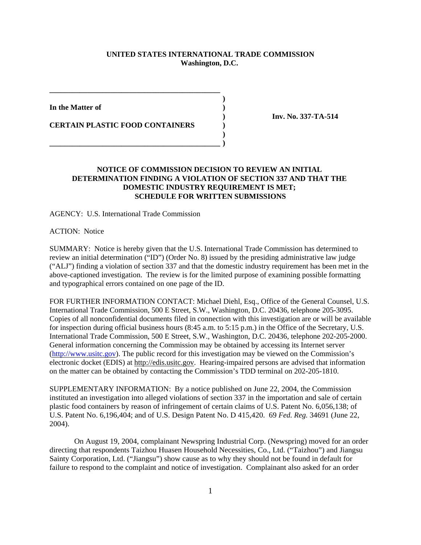## **UNITED STATES INTERNATIONAL TRADE COMMISSION Washington, D.C.**

**)**

**)**

**In the Matter of )**

**CERTAIN PLASTIC FOOD CONTAINERS )**

**\_\_\_\_\_\_\_\_\_\_\_\_\_\_\_\_\_\_\_\_\_\_\_\_\_\_\_\_\_\_\_\_\_\_\_\_\_\_\_\_\_\_\_\_\_**

**\_\_\_\_\_\_\_\_\_\_\_\_\_\_\_\_\_\_\_\_\_\_\_\_\_\_\_\_\_\_\_\_\_\_\_\_\_\_\_\_\_\_\_\_\_ )**

**) Inv. No. 337-TA-514**

## **NOTICE OF COMMISSION DECISION TO REVIEW AN INITIAL DETERMINATION FINDING A VIOLATION OF SECTION 337 AND THAT THE DOMESTIC INDUSTRY REQUIREMENT IS MET; SCHEDULE FOR WRITTEN SUBMISSIONS**

AGENCY: U.S. International Trade Commission

ACTION: Notice

SUMMARY: Notice is hereby given that the U.S. International Trade Commission has determined to review an initial determination ("ID") (Order No. 8) issued by the presiding administrative law judge ("ALJ") finding a violation of section 337 and that the domestic industry requirement has been met in the above-captioned investigation. The review is for the limited purpose of examining possible formatting and typographical errors contained on one page of the ID.

FOR FURTHER INFORMATION CONTACT: Michael Diehl, Esq., Office of the General Counsel, U.S. International Trade Commission, 500 E Street, S.W., Washington, D.C. 20436, telephone 205-3095. Copies of all nonconfidential documents filed in connection with this investigation are or will be available for inspection during official business hours (8:45 a.m. to 5:15 p.m.) in the Office of the Secretary, U.S. International Trade Commission, 500 E Street, S.W., Washington, D.C. 20436, telephone 202-205-2000. General information concerning the Commission may be obtained by accessing its Internet server (http://www.usitc.gov). The public record for this investigation may be viewed on the Commission's electronic docket (EDIS) at http://edis.usitc.gov. Hearing-impaired persons are advised that information on the matter can be obtained by contacting the Commission's TDD terminal on 202-205-1810.

SUPPLEMENTARY INFORMATION: By a notice published on June 22, 2004, the Commission instituted an investigation into alleged violations of section 337 in the importation and sale of certain plastic food containers by reason of infringement of certain claims of U.S. Patent No. 6,056,138; of U.S. Patent No. 6,196,404; and of U.S. Design Patent No. D 415,420. 69 *Fed. Reg.* 34691 (June 22, 2004).

On August 19, 2004, complainant Newspring Industrial Corp. (Newspring) moved for an order directing that respondents Taizhou Huasen Household Necessities, Co., Ltd. ("Taizhou") and Jiangsu Sainty Corporation, Ltd. ("Jiangsu") show cause as to why they should not be found in default for failure to respond to the complaint and notice of investigation. Complainant also asked for an order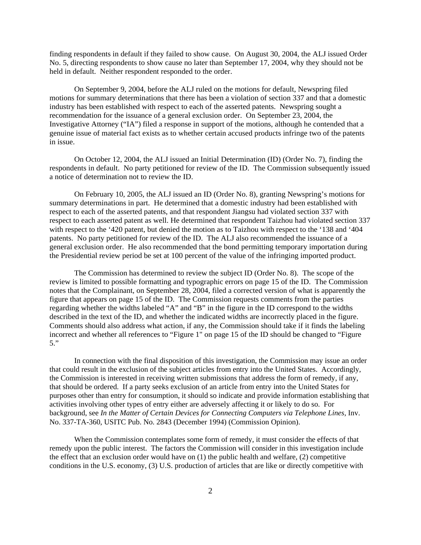finding respondents in default if they failed to show cause. On August 30, 2004, the ALJ issued Order No. 5, directing respondents to show cause no later than September 17, 2004, why they should not be held in default. Neither respondent responded to the order.

On September 9, 2004, before the ALJ ruled on the motions for default, Newspring filed motions for summary determinations that there has been a violation of section 337 and that a domestic industry has been established with respect to each of the asserted patents. Newspring sought a recommendation for the issuance of a general exclusion order. On September 23, 2004, the Investigative Attorney ("IA") filed a response in support of the motions, although he contended that a genuine issue of material fact exists as to whether certain accused products infringe two of the patents in issue.

On October 12, 2004, the ALJ issued an Initial Determination (ID) (Order No. 7), finding the respondents in default. No party petitioned for review of the ID. The Commission subsequently issued a notice of determination not to review the ID.

On February 10, 2005, the ALJ issued an ID (Order No. 8), granting Newspring's motions for summary determinations in part. He determined that a domestic industry had been established with respect to each of the asserted patents, and that respondent Jiangsu had violated section 337 with respect to each asserted patent as well. He determined that respondent Taizhou had violated section 337 with respect to the '420 patent, but denied the motion as to Taizhou with respect to the '138 and '404 patents. No party petitioned for review of the ID. The ALJ also recommended the issuance of a general exclusion order. He also recommended that the bond permitting temporary importation during the Presidential review period be set at 100 percent of the value of the infringing imported product.

The Commission has determined to review the subject ID (Order No. 8). The scope of the review is limited to possible formatting and typographic errors on page 15 of the ID. The Commission notes that the Complainant, on September 28, 2004, filed a corrected version of what is apparently the figure that appears on page 15 of the ID. The Commission requests comments from the parties regarding whether the widths labeled "A" and "B" in the figure in the ID correspond to the widths described in the text of the ID, and whether the indicated widths are incorrectly placed in the figure. Comments should also address what action, if any, the Commission should take if it finds the labeling incorrect and whether all references to "Figure 1" on page 15 of the ID should be changed to "Figure 5."

In connection with the final disposition of this investigation, the Commission may issue an order that could result in the exclusion of the subject articles from entry into the United States. Accordingly, the Commission is interested in receiving written submissions that address the form of remedy, if any, that should be ordered. If a party seeks exclusion of an article from entry into the United States for purposes other than entry for consumption, it should so indicate and provide information establishing that activities involving other types of entry either are adversely affecting it or likely to do so. For background, see *In the Matter of Certain Devices for Connecting Computers via Telephone Lines,* Inv. No. 337-TA-360, USITC Pub. No. 2843 (December 1994) (Commission Opinion).

When the Commission contemplates some form of remedy, it must consider the effects of that remedy upon the public interest. The factors the Commission will consider in this investigation include the effect that an exclusion order would have on (1) the public health and welfare, (2) competitive conditions in the U.S. economy, (3) U.S. production of articles that are like or directly competitive with